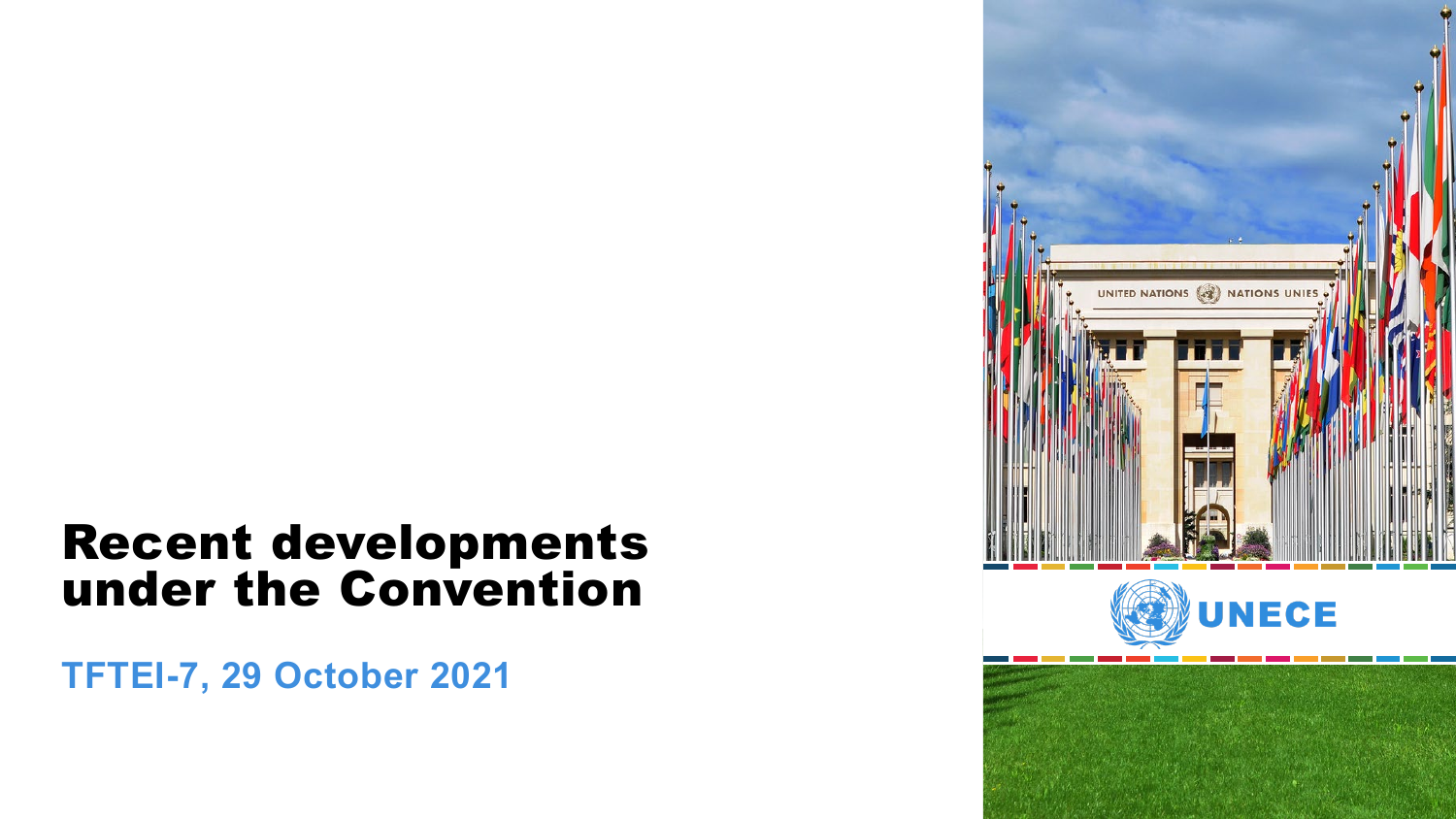# Recent developments under the Convention

**TFTEI-7, 29 October 2021**



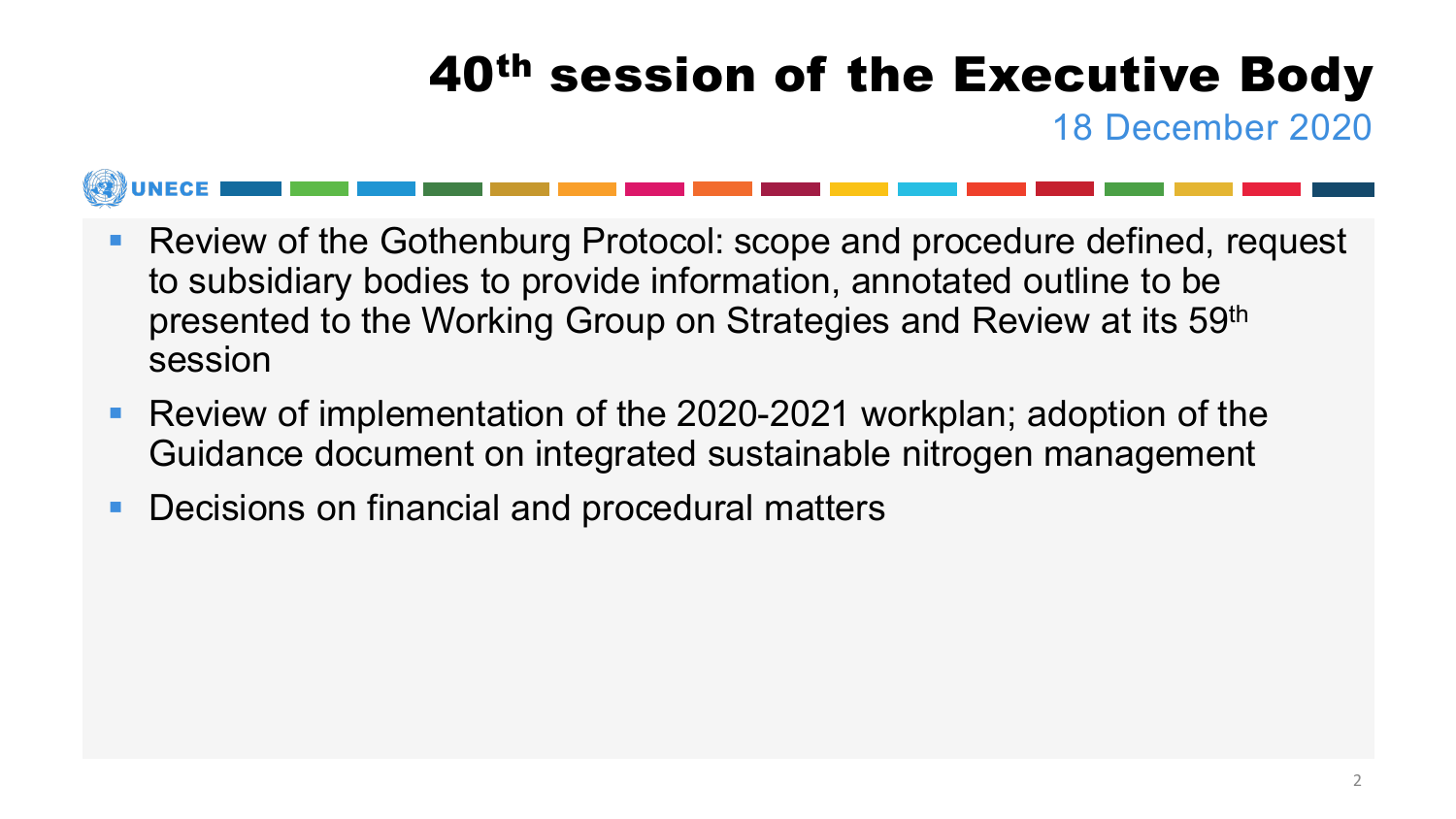# 40<sup>th</sup> session of the Executive Body

18 December 2020

### ■ Review of the Gothenburg Protocol: scope and procedure defined, request to subsidiary bodies to provide information, annotated outline to be presented to the Working Group on Strategies and Review at its 59th session

- Review of implementation of the 2020-2021 workplan; adoption of the Guidance document on integrated sustainable nitrogen management
- **Decisions on financial and procedural matters**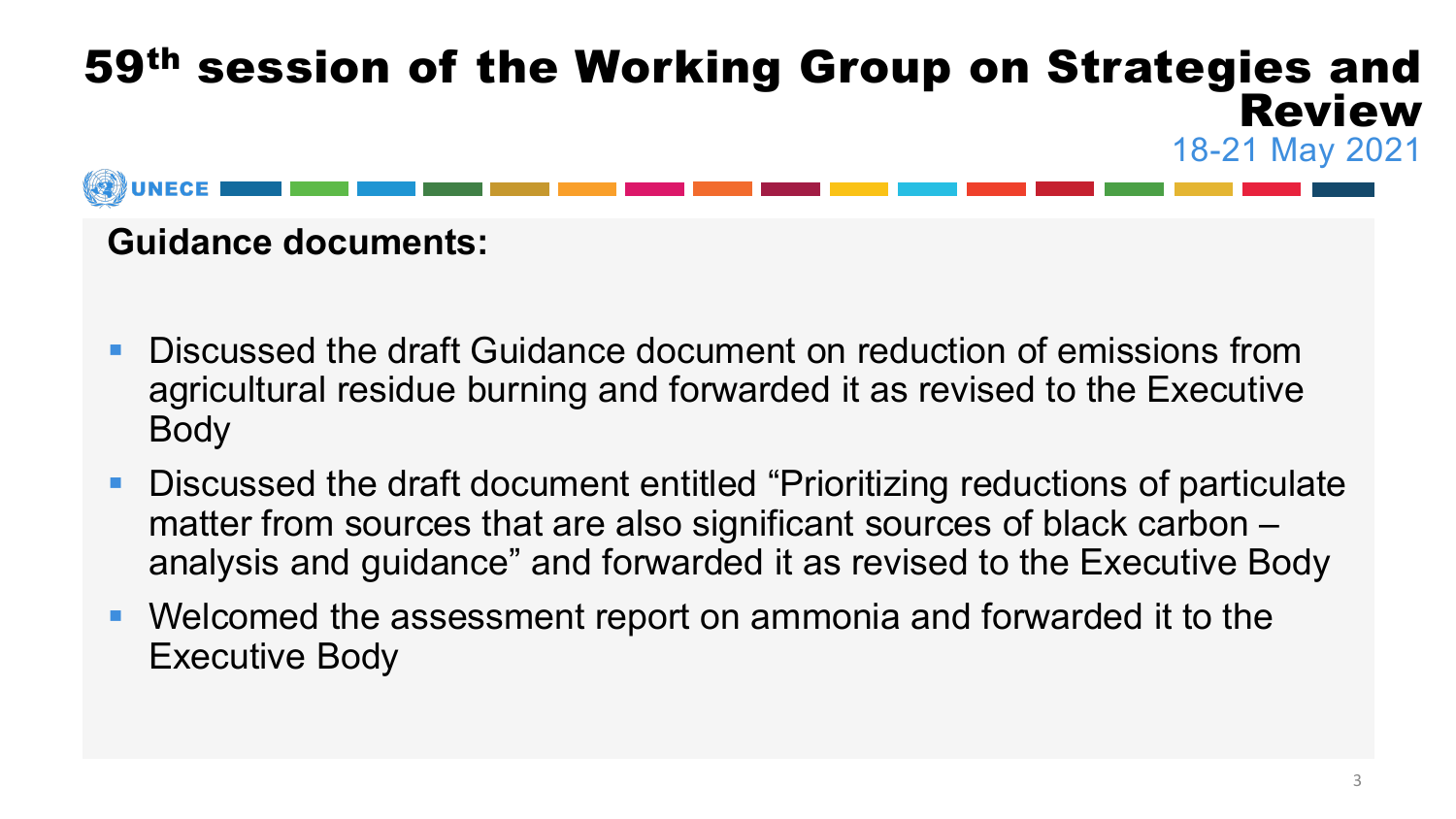

#### **Guidance documents:**

- **Discussed the draft Guidance document on reduction of emissions from** agricultural residue burning and forwarded it as revised to the Executive Body
- Discussed the draft document entitled "Prioritizing reductions of particulate matter from sources that are also significant sources of black carbon – analysis and guidance" and forwarded it as revised to the Executive Body
- Welcomed the assessment report on ammonia and forwarded it to the Executive Body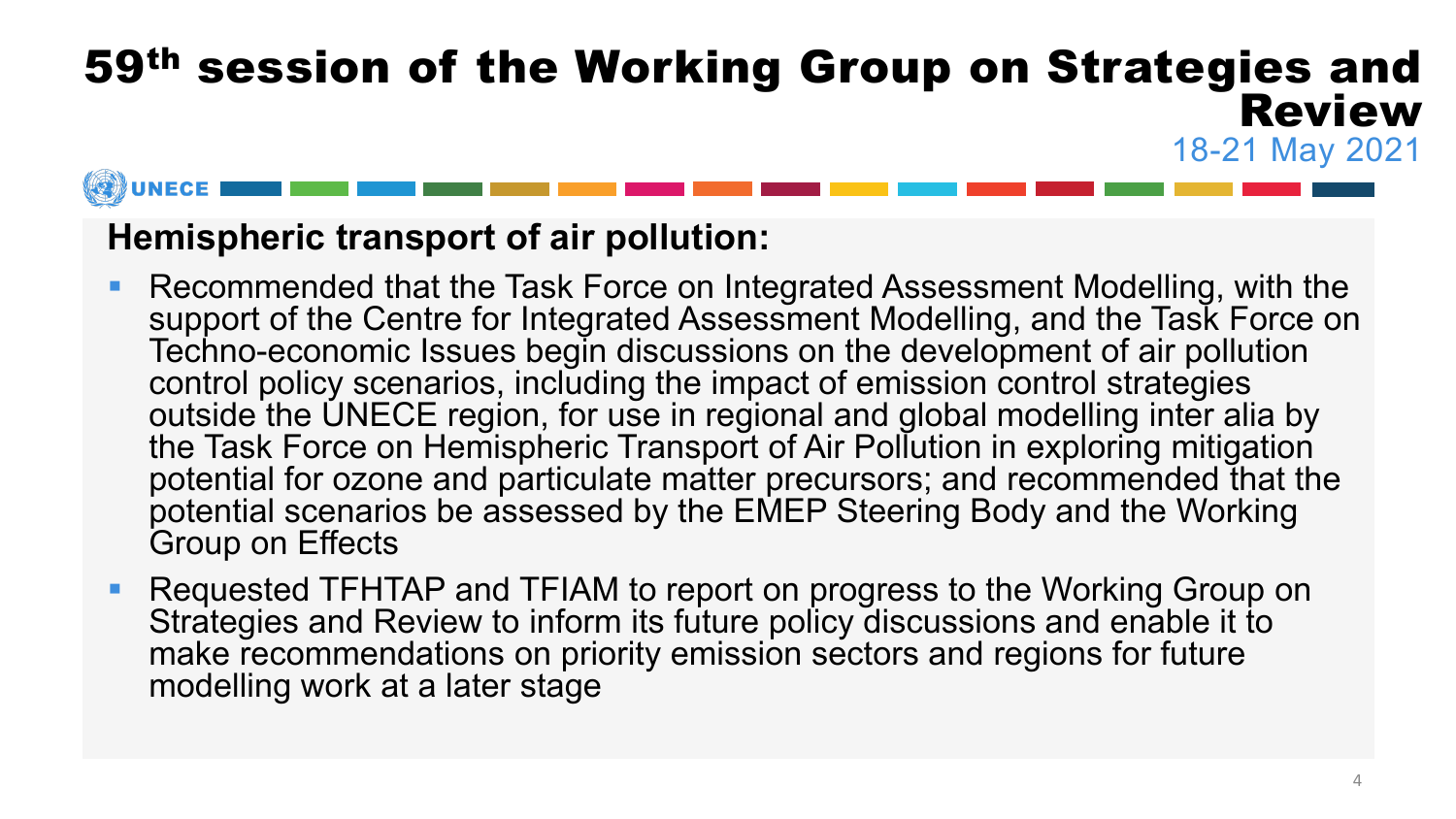#### **Hemispheric transport of air pollution:**

- Recommended that the Task Force on Integrated Assessment Modelling, with the support of the Centre for Integrated Assessment Modelling, and the Task Force on Techno-economic Issues begin discussions on the development of air pollution control policy scenarios, including the impact of emission control strategies outside the UNECE region, for use in regional and global modelling inter alia by the Task Force on Hemispheric Transport of Air Pollution in exploring mitigation potential for ozone and particulate matter precursors; and recommended that the potential scenarios be assessed by the EMEP Steering Body and the Working Group on Effects
- Requested TFHTAP and TFIAM to report on progress to the Working Group on Strategies and Review to inform its future policy discussions and enable it to make recommendations on priority emission sectors and regions for future modelling work at a later stage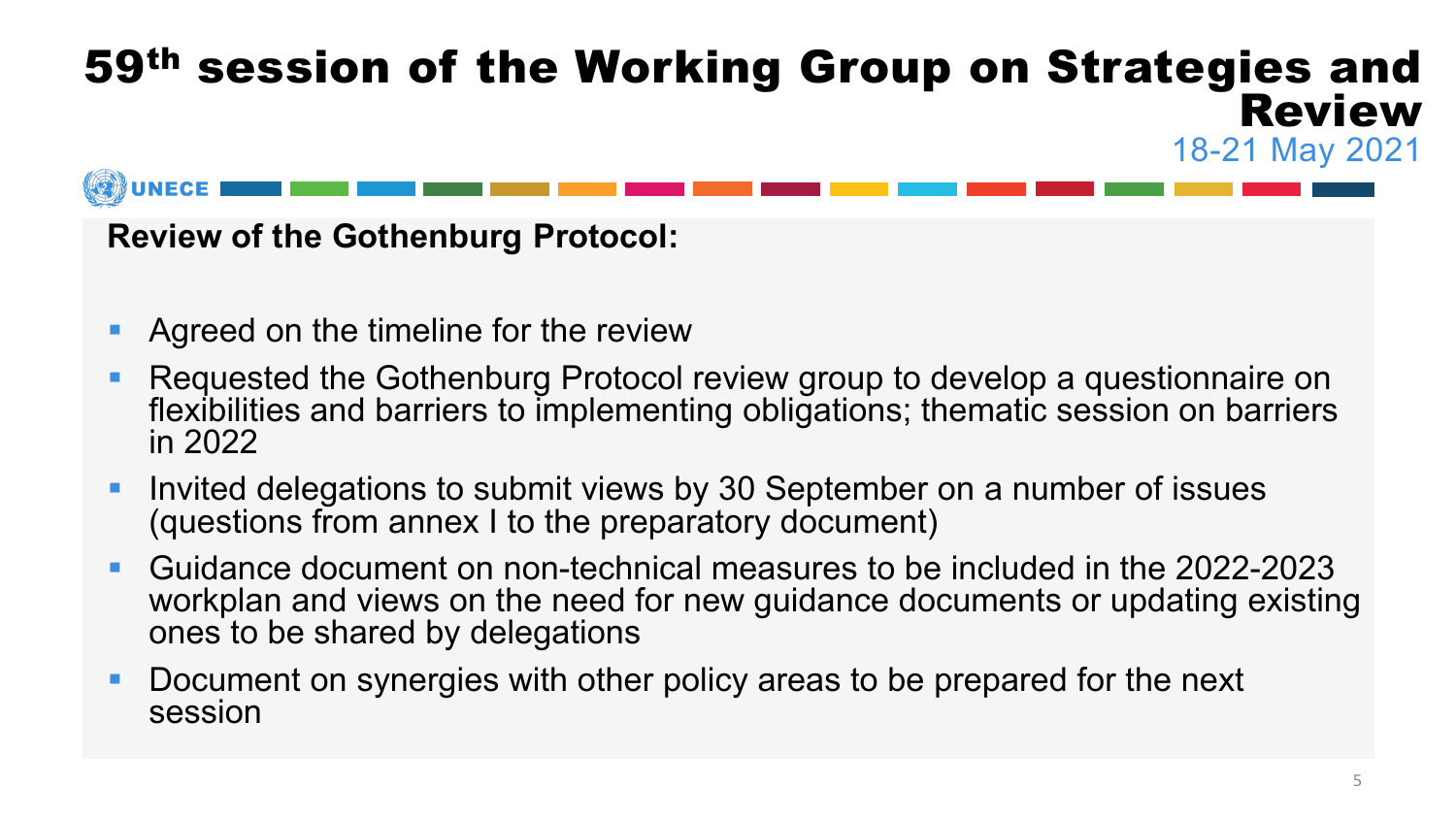**Review of the Gothenburg Protocol:**

- **Agreed on the timeline for the review**
- **Requested the Gothenburg Protocol review group to develop a questionnaire on** flexibilities and barriers to implementing obligations; thematic session on barriers in 2022
- **Invited delegations to submit views by 30 September on a number of issues** (questions from annex I to the preparatory document)
- Guidance document on non-technical measures to be included in the 2022-2023 workplan and views on the need for new guidance documents or updating existing ones to be shared by delegations
- Document on synergies with other policy areas to be prepared for the next session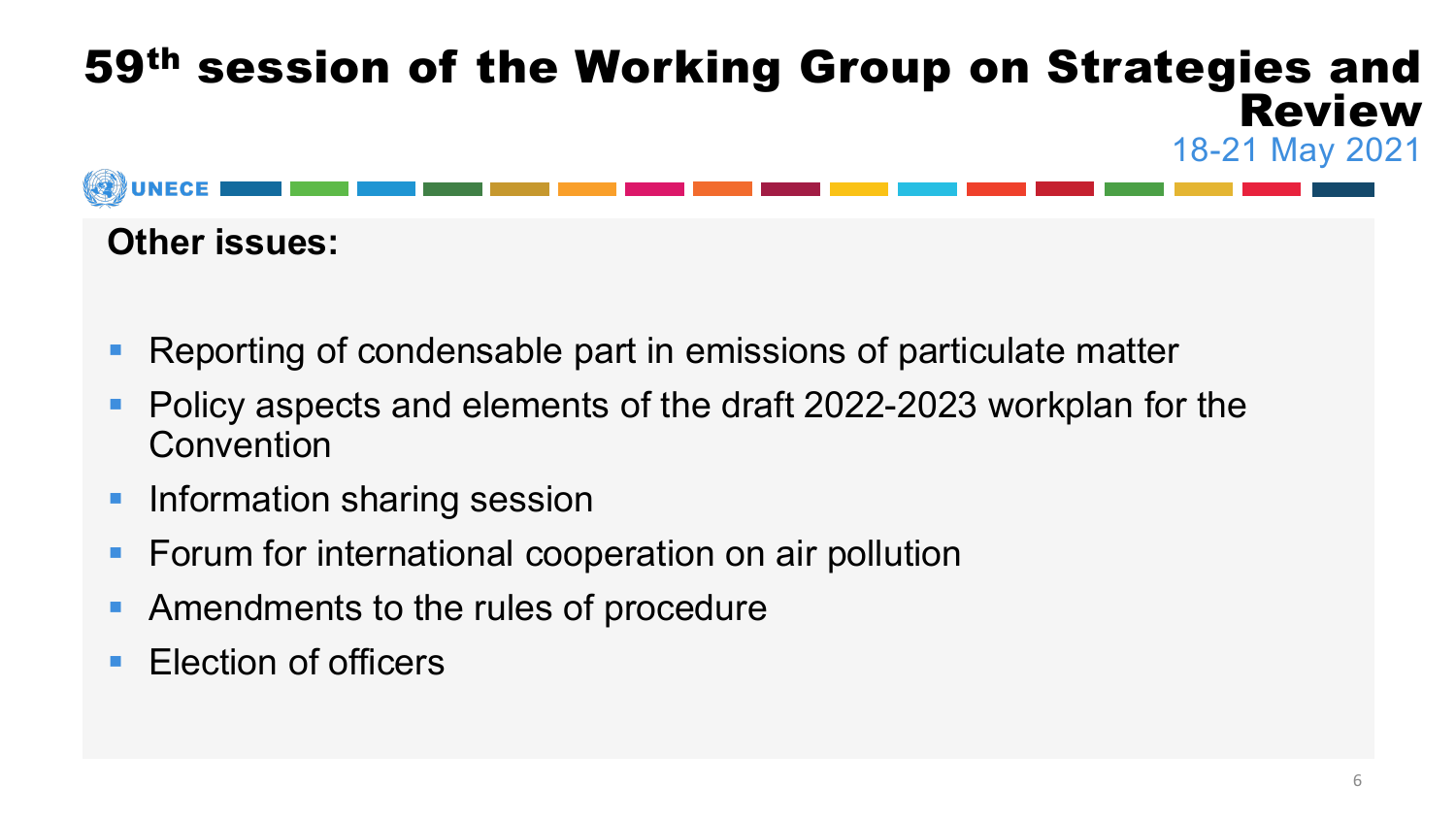

### **Other issues:**

- Reporting of condensable part in emissions of particulate matter
- Policy aspects and elements of the draft 2022-2023 workplan for the Convention
- **Information sharing session**
- **Forum for international cooperation on air pollution**
- Amendments to the rules of procedure
- **Election of officers**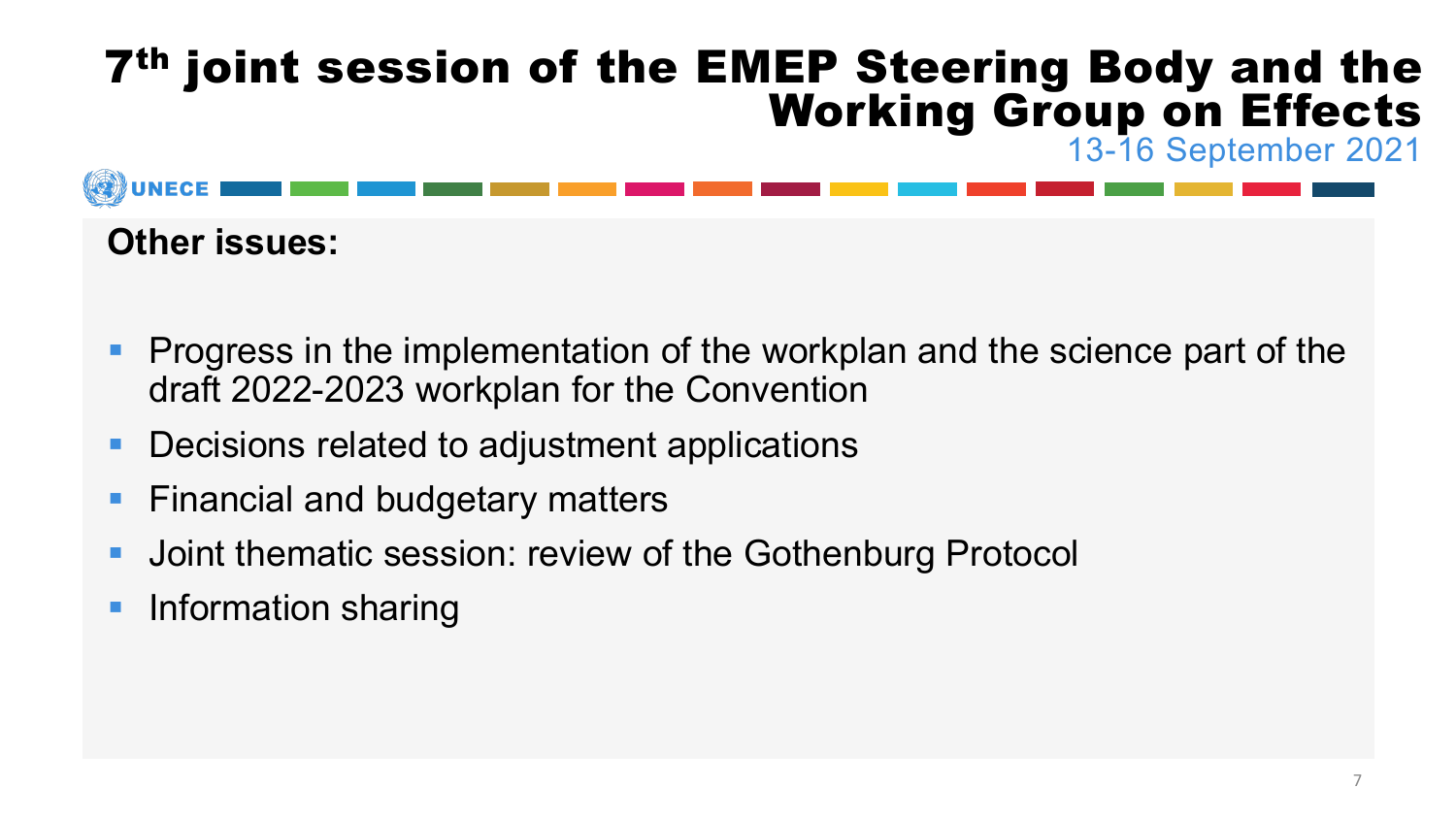## 7th joint session of the EMEP Steering Body and the Working Group on Effects 13-16 September 2021



#### **Other issues:**

- **Progress in the implementation of the workplan and the science part of the** draft 2022-2023 workplan for the Convention
- **Decisions related to adjustment applications**
- Financial and budgetary matters
- **Joint thematic session: review of the Gothenburg Protocol**
- **Information sharing**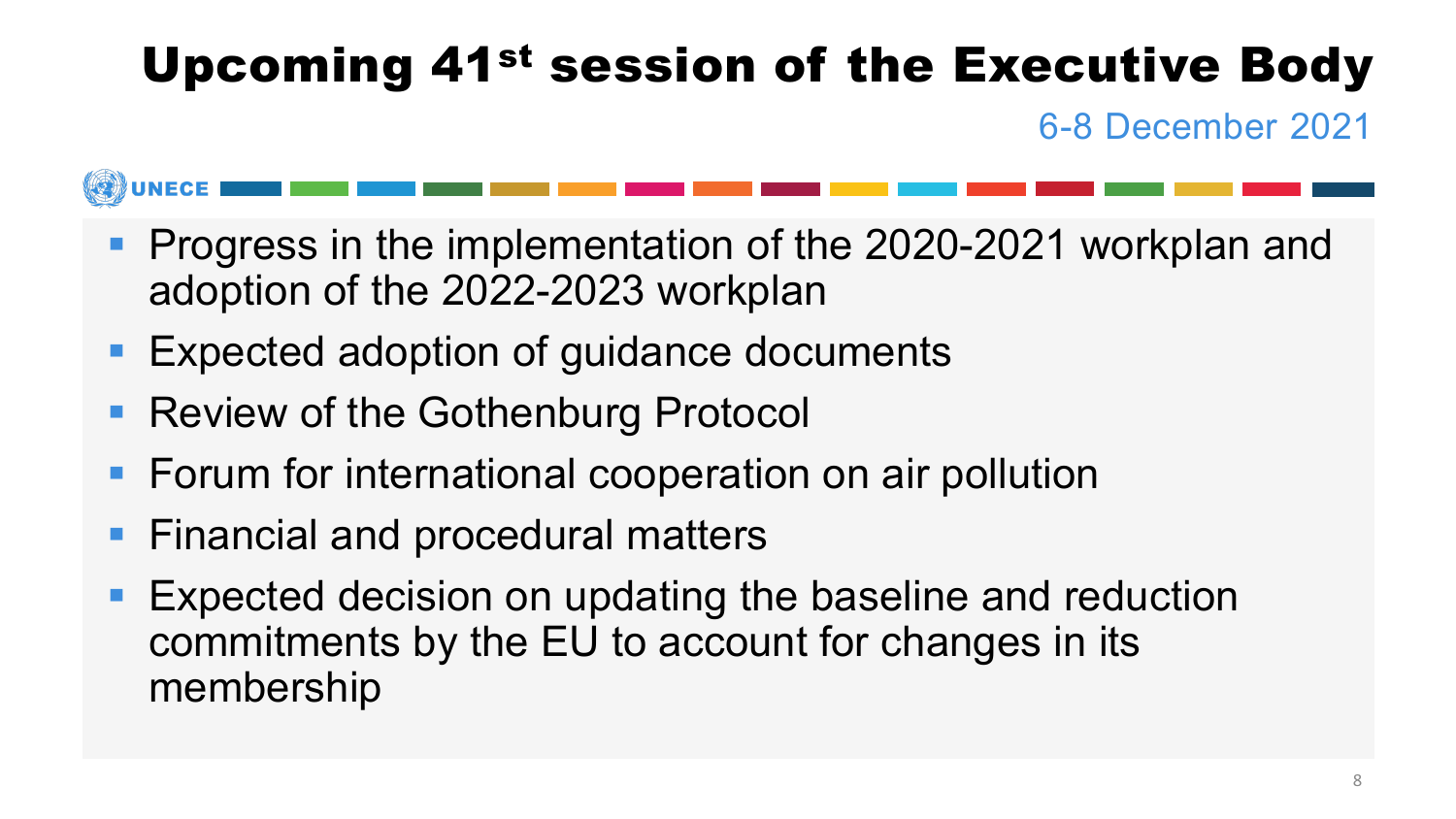# Upcoming 41st session of the Executive Body

6-8 December 2021



- **Progress in the implementation of the 2020-2021 workplan and** adoption of the 2022-2023 workplan
- **Expected adoption of guidance documents**
- Review of the Gothenburg Protocol
- **Fig. 5 Forum for international cooperation on air pollution**
- **Financial and procedural matters**
- **Expected decision on updating the baseline and reduction** commitments by the EU to account for changes in its membership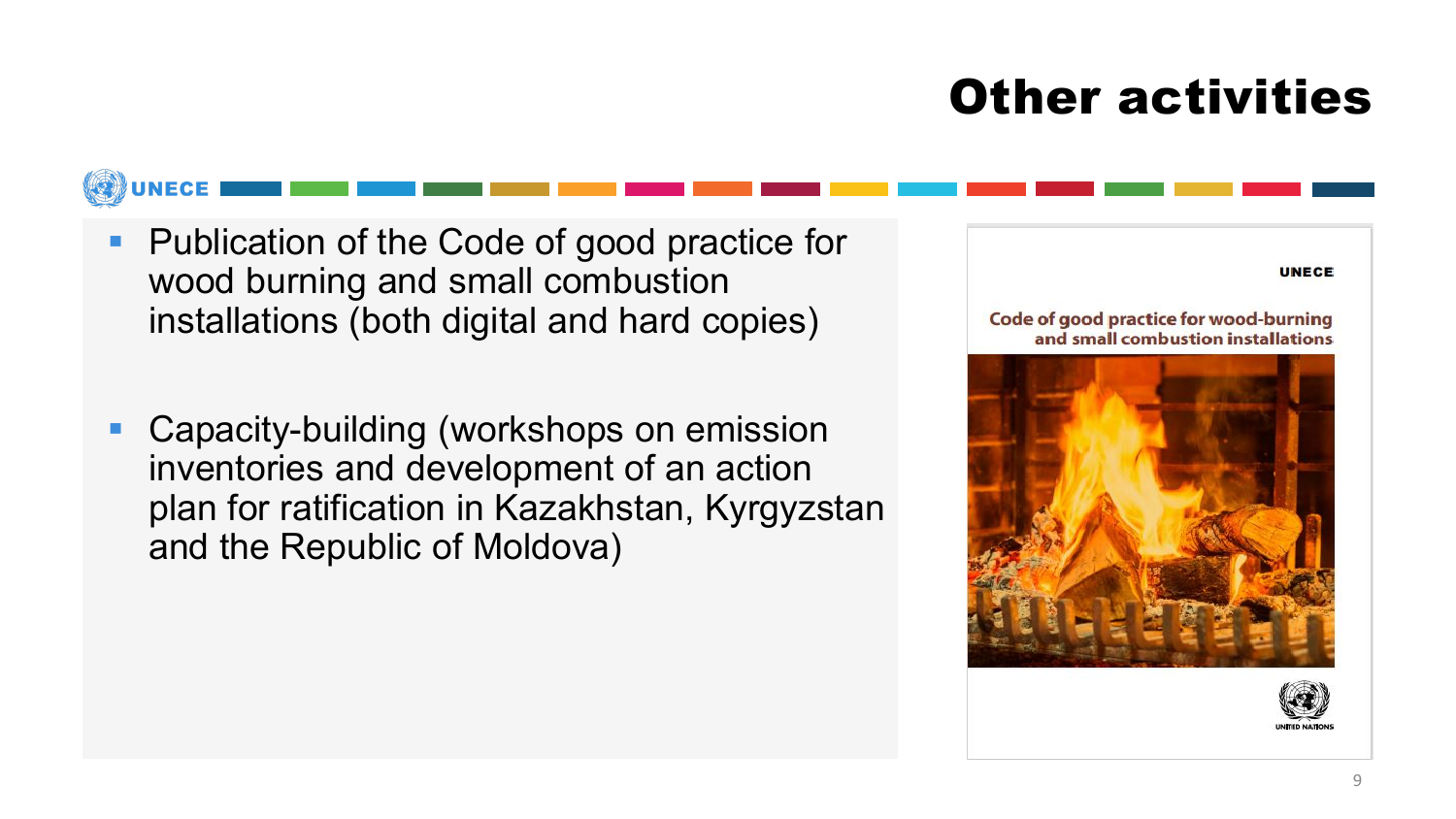# Other activities

- **Publication of the Code of good practice for** wood burning and small combustion installations (both digital and hard copies)
- Capacity-building (workshops on emission inventories and development of an action plan for ratification in Kazakhstan, Kyrgyzstan and the Republic of Moldova)



Code of good practice for wood-burning and small combustion installations